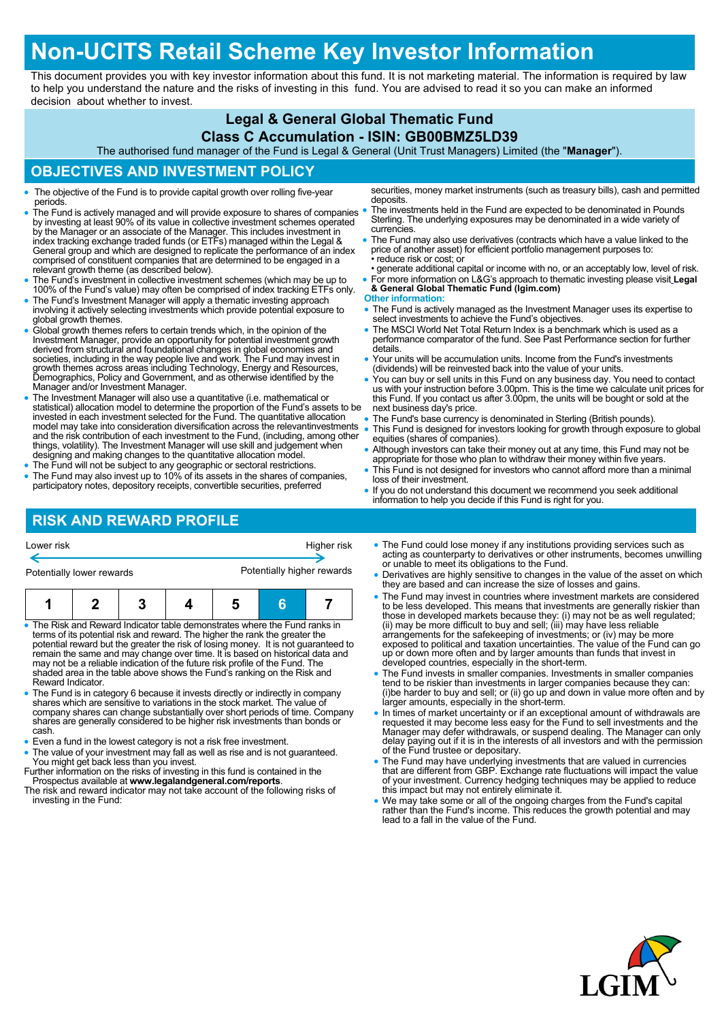# **Non-UCITS Retail Scheme Key Investor Information**

This document provides you with key investor information about this fund. It is not marketing material. The information is required by law to help you understand the nature and the risks of investing in this fund. You are advised to read it so you can make an informed decision about whether to invest.

# **Legal & General Global Thematic Fund**

### **Class C Accumulation - ISIN: GB00BMZ5LD39**

The authorised fund manager of the Fund is Legal & General (Unit Trust Managers) Limited (the "**Manager**").

# **OBJECTIVES AND INVESTMENT POLICY**

- The objective of the Fund is to provide capital growth over rolling five-year periods.
- The Fund is actively managed and will provide exposure to shares of companies by investing at least 90% of its value in collective investment schemes operated by the Manager or an associate of the Manager. This includes investment in index tracking exchange traded funds (or ETFs) managed within the Legal & General group and which are designed to replicate the performance of an index comprised of constituent companies that are determined to be engaged in a relevant growth theme (as described below).
- The Fund's investment in collective investment schemes (which may be up to 100% of the Fund's value) may often be comprised of index tracking ETFs only.
- The Fund's Investment Manager will apply a thematic investing approach involving it actively selecting investments which provide potential exposure to global growth themes.
- Global growth themes refers to certain trends which, in the opinion of the Investment Manager, provide an opportunity for potential investment growth derived from structural and foundational changes in global economies and<br>societies, including in the way people live and work. The Fund may invest in<br>growth themes across areas including Technology, Energy and Resources,<br>D Manager and/or Investment Manager.
- The Investment Manager will also use a quantitative (i.e. mathematical or statistical) allocation model to determine the proportion of the Fund's assets to be<br>invested in each investment selected for the Fund. The quantitative allocation<br>model may take into consideration diversification across t things, volatility). The Investment Manager will use skill and judgement when designing and making changes to the quantitative allocation model.
- The Fund will not be subject to any geographic or sectoral restrictions.
- The Fund may also invest up to 10% of its assets in the shares of companies, participatory notes, depository receipts, convertible securities, preferred

# **RISK AND REWARD PROFILE**

- You can buy or sell units in this Fund on any business day. You need to contact us with your instruction before 3.00pm. This is the time we calculate unit prices for this Fund. If you contact us after 3.00pm, the units will be bought or sold at the next business day's price.
- The Fund's base currency is denominated in Sterling (British pounds).
- This Fund is designed for investors looking for growth through exposure to global equities (shares of companies).
- Although investors can take their money out at any time, this Fund may not be appropriate for those who plan to withdraw their money within five years.
- This Fund is not designed for investors who cannot afford more than a minimal loss of their investment.
- If you do not understand this document we recommend you seek additional information to help you decide if this Fund is right for you.

| Potentially lower rewards |  | Potentially higher rewards |  |  |  |  |
|---------------------------|--|----------------------------|--|--|--|--|
| Lower risk                |  | Higher risk                |  |  |  |  |

- The Risk and Reward Indicator table demonstrates where the Fund ranks in terms of its potential risk and reward. The higher the rank the greater the potential reward but the greater the risk of losing money. It is not guaranteed to remain the same and may change over time. It is based on historical data and may not be a reliable indication of the future risk profile of the Fund. The shaded area in the table above shows the Fund's ranking on the Risk and Reward Indicator.
- The Fund is in category 6 because it invests directly or indirectly in company<br>shares which are sensitive to variations in the stock market. The value of<br>company shares can change substantially over short periods of time cash.
- Even a fund in the lowest category is not a risk free investment.
- The value of your investment may fall as well as rise and is not guaranteed. You might get back less than you invest.
- Further information on the risks of investing in this fund is contained in the Prospectus available at **www.legalandgeneral.com/reports**. The risk and reward indicator may not take account of the following risks of
- investing in the Fund:
- The Fund could lose money if any institutions providing services such as acting as counterparty to derivatives or other instruments, becomes unwilling or unable to meet its obligations to the Fund.
- Derivatives are highly sensitive to changes in the value of the asset on which they are based and can increase the size of losses and gains.
- The Fund may invest in countries where investment markets are considered to be less developed. This means that investments are generally riskier than those in developed markets because they: (i) may not be as well regulated; (ii) may be more difficult to buy and sell; (iii) may have less reliable arrangements for the safekeeping of investments; or (iv) may be more exposed to political and taxation uncertainties. The value of the Fund can go up or down more often and by larger amounts than funds that invest in developed countries, especially in the short-term.
- The Fund invests in smaller companies. Investments in smaller companies tend to be riskier than investments in larger companies because they can: (i)be harder to buy and sell; or (ii) go up and down in value more often and by larger amounts, especially in the short-term.
- In times of market uncertainty or if an exceptional amount of withdrawals are requested it may become less easy for the Fund to sell investments and the Manager may defer withdrawals, or suspend dealing. The Manager can
- The Fund may have underlying investments that are valued in currencies that are different from GBP. Exchange rate fluctuations will impact the value of your investment. Currency hedging techniques may be applied to reduce this impact but may not entirely eliminate it.
- We may take some or all of the ongoing charges from the Fund's capital rather than the Fund's income. This reduces the growth potential and may lead to a fall in the value of the Fund.



securities, money market instruments (such as treasury bills), cash and permitted deposits

- The investments held in the Fund are expected to be denominated in Pounds Sterling. The underlying exposures may be denominated in a wide variety of currencies.
- The Fund may also use derivatives (contracts which have a value linked to the price of another asset) for efficient portfolio management purposes to: reduce risk or cost; or
- generate additional capital or income with no, or an acceptably low, level of risk. For more information on L&G's approach to thematic investing please visit **[Legal](https://fundcentres.lgim.com/srp/lit/7ZYAyq/Product-profile_Legal-General-Global-Thematic-Fund_21-04-2021.pdf)**

#### **[& General Global Thematic Fund \(lgim.com\)](https://fundcentres.lgim.com/srp/lit/7ZYAyq/Product-profile_Legal-General-Global-Thematic-Fund_21-04-2021.pdf)**

- **Other information:**
- The Fund is actively managed as the Investment Manager uses its expertise to select investments to achieve the Fund's objectives.
- The MSCI World Net Total Return Index is a benchmark which is used as a performance comparator of the fund. See Past Performance section for further details.
- Your units will be accumulation units. Income from the Fund's investments (dividends) will be reinvested back into the value of your units.